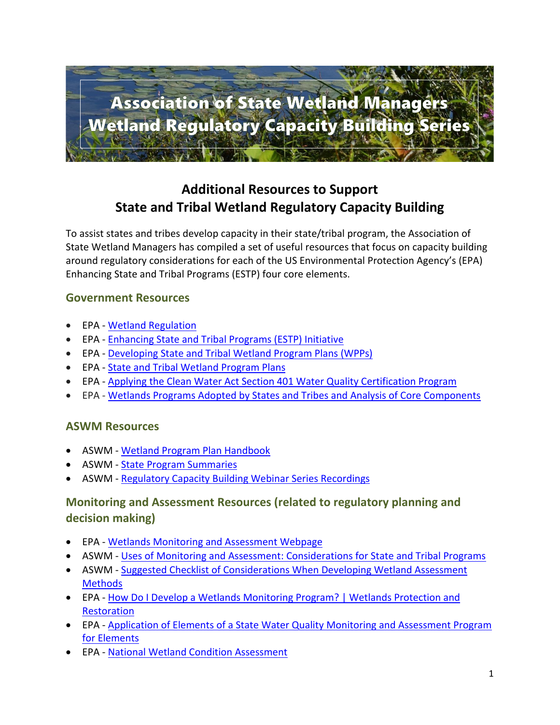

# **Additional Resources to Support State and Tribal Wetland Regulatory Capacity Building**

To assist states and tribes develop capacity in their state/tribal program, the Association of State Wetland Managers has compiled a set of useful resources that focus on capacity building around regulatory considerations for each of the US Environmental Protection Agency's (EPA) Enhancing State and Tribal Programs (ESTP) four core elements.

### **Government Resources**

- EPA [Wetland Regulation](https://www.epa.gov/sites/production/files/2015-09/documents/regulation_cef.pdf)
- EPA [Enhancing State and Tribal Programs \(ESTP\) Initiative](https://www.epa.gov/wetlands/what-enhancing-state-and-tribal-programs-initiative)
- EPA [Developing State and Tribal Wetland Program Plans](https://www.epa.gov/wetlands/developing-state-or-tribal-wetland-program-plan) (WPPs)
- EPA [State and Tribal Wetland Program Plans](https://www.epa.gov/wetlands/state-and-tribal-wetland-program-plans#r1)
- EPA [Applying the Clean Water Act Section 401 Water Quality Certification Program](https://www.epa.gov/cwa-401/clean-water-act-section-401-state-certification-water-quality)
- EPA [Wetlands Programs Adopted by States and Tribes and Analysis of Core Components](https://www.epa.gov/wetlands/wetlands-programs-adopted-states-and-tribes-and-analysis-core-components)

#### **ASWM Resources**

- ASWM [Wetland Program Plan](https://www.aswm.org/pdf_lib/wetland_program_plans_handbook.pdf) Handbook
- ASWM [State Program Summaries](https://www.aswm.org/wetland-programs/state-program-summaries)
- ASWM [Regulatory Capacity Building Webinar Series Recordings](https://www.aswm.org/aswm/aswm-webinarscalls/9722-past-2020-capacity-building-webinar)

## **Monitoring and Assessment Resources (related to regulatory planning and decision making)**

- EPA [Wetlands Monitoring and Assessment Webpage](https://www.epa.gov/wetlands/wetlands-monitoring-and-assessment#:~:text=Wetlands%20monitoring%20and%20assessment%20data%20can%20be%20used,reporting%20--%20the%20ambient%20condition%20of%20wetland%20resources)
- ASWM [Uses of Monitoring and Assessment: Considerations for State and Tribal Programs](https://www.aswm.org/pdf_lib/uses_of_wetland_monitoring_and_assessment_0615.pdf)
- ASWM Suggested Checklist of Considerations When Developing Wetland Assessment **[Methods](https://www.aswm.org/wetland-science/wetland-assessment/176-suggested-checklist-of-considerations-when-developing-wetland-assessment-methods)**
- EPA [How Do I Develop a Wetlands Monitoring Program? | Wetlands Protection and](https://www.epa.gov/wetlands/how-do-i-develop-wetlands-monitoring-program)  **[Restoration](https://www.epa.gov/wetlands/how-do-i-develop-wetlands-monitoring-program)**
- EPA [Application of Elements of a State Water Quality Monitoring and Assessment Program](https://archive.epa.gov/ncer/events/calendar/archive/web/pdf/wetlandelements.pdf)  [for Elements](https://archive.epa.gov/ncer/events/calendar/archive/web/pdf/wetlandelements.pdf)
- EPA [National Wetland Condition Assessment](https://www.epa.gov/national-aquatic-resource-surveys/nwca)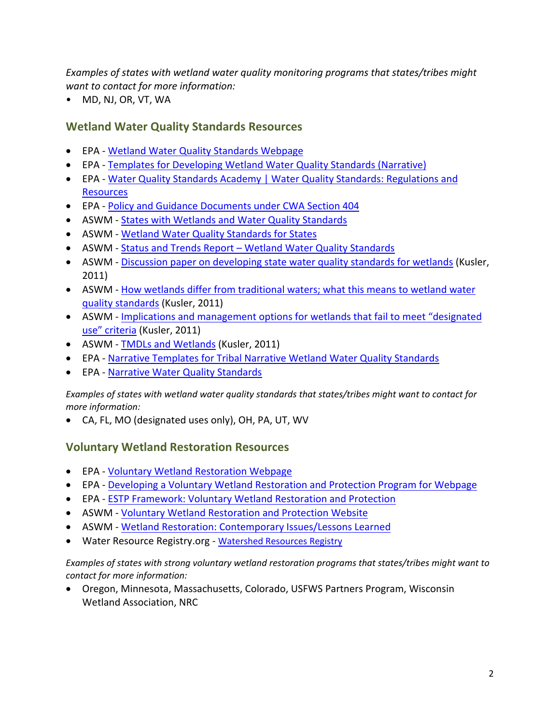*Examples of states with wetland water quality monitoring programs that states/tribes might want to contact for more information:*

• MD, NJ, OR, VT, WA

## **Wetland Water Quality Standards Resources**

- EPA [Wetland Water Quality Standards Webpage](https://www.epa.gov/wetlands/wetland-water-quality-standards)
- EPA Templates for Developing Wetland Water Quality Standards (Narrative)
- EPA [Water Quality Standards Academy | Water Quality Standards: Regulations and](https://www.epa.gov/wqs-tech/water-quality-standards-academy#basic)  **[Resources](https://www.epa.gov/wqs-tech/water-quality-standards-academy#basic)**
- EPA [Policy and Guidance Documents under CWA Section 404](https://www.epa.gov/cwa-404/policy-and-guidance-documents-under-cwa-section-404#1.0_Introduction)
- ASWM [States with Wetlands and Water Quality Standards](https://www.aswm.org/wetland-programs/water-quality-standards-for-wetlands/2780-states-with-wetlands-and-water-quality-standards-)
- ASWM [Wetland Water Quality Standards for States](https://www.aswm.org/aswm/349-uncategorised/2789-wetland-water-quality-standards-for-states)
- ASWM Status and Trends Report [Wetland Water Quality Standards](https://www.aswm.org/wetland-programs/water-quality-standards-for-wetlands/2780-states-with-wetlands-and-water-quality-standards-)
- ASWM [Discussion paper on developing state water quality standards for wetlands](https://www.aswm.org/pdf_lib/state_water_quality_standards_for_wetlands_061410.pdf) (Kusler, 2011)
- ASWM How wetlands differ from traditional waters; what this means to wetland water [quality standards](https://www.aswm.org/pdf_lib/how_wetlands_differ_from_traditional_waters_061410.pdf) (Kusler, 2011)
- ASWM Implications and management options for wetlands that fail to meet "designated [use" criteria](https://www.aswm.org/pdf_lib/implications_and_management_options_for_wetlands_061410.pdf) (Kusler, 2011)
- ASWM [TMDLs and Wetlands](https://www.aswm.org/pdf_lib/tmdls_and_wetlands_061410.pdf) (Kusler, 2011)
- EPA [Narrative Templates for Tribal Narrative Wetland Water Quality Standards](https://www.epa.gov/sites/production/files/2016-08/documents/narrative-templates-wetlands-wqs.pdf)
- EPA [Narrative Water Quality Standards](https://cfpub.epa.gov/watertrain/moduleFrame.cfm?parent_object_id=2615)

*Examples of states with wetland water quality standards that states/tribes might want to contact for more information:*

• CA, FL, MO (designated uses only), OH, PA, UT, WV

## **Voluntary Wetland Restoration Resources**

- EPA [Voluntary Wetland Restoration Webpage](https://www.epa.gov/wetlands/volunteer-monitoring-can-protect-wetlands)
- EPA [Developing a Voluntary Wetland Restoration and Protection Program for Webpage](https://www.epa.gov/wetlands/developing-voluntary-restoration-and-protection-program-wetlands)
- EPA [ESTP Framework: Voluntary Wetland Restoration and Protection](https://www.epa.gov/wetlands/voluntary-wetland-restoration-and-protection-core-element-framework)
- ASWM [Voluntary Wetland Restoration and Protection Website](https://aswm.org/wetland-programs/voluntary-restoration-protection)
- ASWM [Wetland Restoration: Contemporary Issues/Lessons Learned](https://www.aswm.org/pdf_lib/wetland_restoration_whitepaper_041415.pdf)
- Water Resource Registry.org [Watershed Resources Registry](https://watershedresourcesregistry.org/)

*Examples of states with strong voluntary wetland restoration programs that states/tribes might want to contact for more information:*

• Oregon, Minnesota, Massachusetts, Colorado, USFWS Partners Program, Wisconsin Wetland Association, NRC